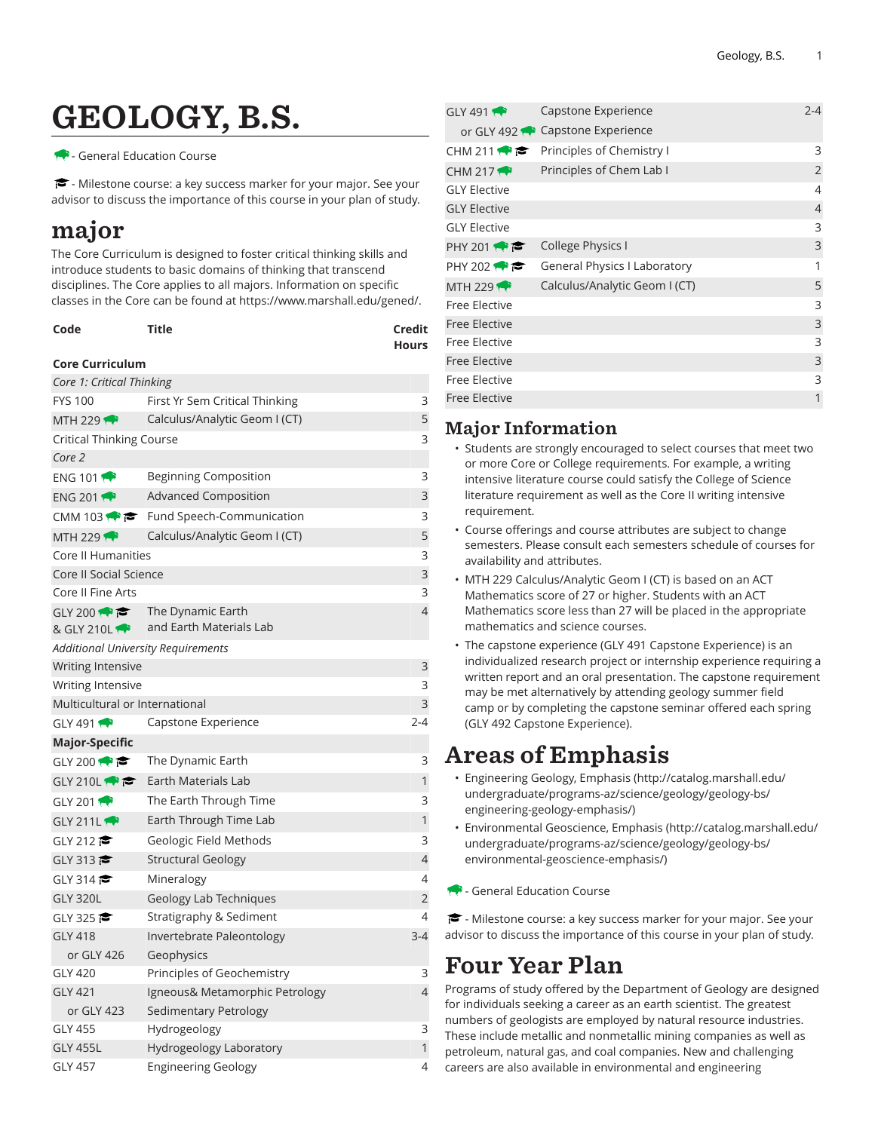# GEOLOGY, B.S.

- General Education Course

<del>■</del> - Milestone course: a key success marker for your major. See your advisor to discuss the importance of this course in your plan of study.

## major

The Core Curriculum is designed to foster critical thinking skills and introduce students to basic domains of thinking that transcend disciplines. The Core applies to all majors. Information on specific classes in the Core can be found at [https://www.marshall.edu/gened/.](https://www.marshall.edu/gened/)

| Code | Title | Credit       |
|------|-------|--------------|
|      |       | <b>Hours</b> |

#### **Core Curriculum**

| Core 1: Critical Thinking                 |                                                     |                |
|-------------------------------------------|-----------------------------------------------------|----------------|
| <b>FYS 100</b>                            | First Yr Sem Critical Thinking                      | 3              |
| MTH 229                                   | Calculus/Analytic Geom I (CT)                       | 5              |
| Critical Thinking Course                  |                                                     |                |
| Core 2                                    |                                                     |                |
| <b>ENG 101</b>                            | Beginning Composition                               | 3              |
| ENG 201                                   | <b>Advanced Composition</b>                         | 3              |
|                                           | CMM 103 $\bullet \bullet$ Fund Speech-Communication | 3              |
| MTH 229 $\leftrightarrow$                 | Calculus/Analytic Geom I (CT)                       | 5              |
| Core II Humanities                        |                                                     | 3              |
| Core II Social Science                    |                                                     | 3              |
| Core II Fine Arts                         |                                                     | 3              |
| GLY 200 $\bullet$                         | The Dynamic Earth                                   | $\overline{4}$ |
| & GLY 210L                                | and Earth Materials Lab                             |                |
| <b>Additional University Requirements</b> |                                                     |                |
| Writing Intensive                         |                                                     | 3              |
| Writing Intensive                         |                                                     | 3              |
| Multicultural or International            |                                                     | 3              |
| GLY 491                                   | Capstone Experience                                 | $2 - 4$        |
| <b>Major-Specific</b>                     |                                                     |                |
| GLY 200 $\bullet$                         | The Dynamic Earth                                   | 3              |
| GLY 210L                                  | Earth Materials Lab                                 | 1              |
| GLY 201 $\bullet$                         | The Earth Through Time                              | 3              |
| GLY 211L                                  | Earth Through Time Lab                              | 1              |
| GLY 212                                   | Geologic Field Methods                              | 3              |
| GLY 313                                   | <b>Structural Geology</b>                           | $\overline{4}$ |
| GLY 314                                   | Mineralogy                                          | 4              |
| <b>GLY 320L</b>                           | Geology Lab Techniques                              | 2              |
| GLY 325                                   | Stratigraphy & Sediment                             | 4              |
| <b>GLY 418</b>                            | Invertebrate Paleontology                           | $3 - 4$        |
| or GLY 426                                | Geophysics                                          |                |
| <b>GLY 420</b>                            | Principles of Geochemistry                          | 3              |
| <b>GLY 421</b>                            | Igneous& Metamorphic Petrology                      | $\overline{4}$ |
| or GLY 423                                | <b>Sedimentary Petrology</b>                        |                |
| <b>GLY 455</b>                            | Hydrogeology                                        | 3              |
| <b>GLY 455L</b>                           | Hydrogeology Laboratory                             | $\mathbf{1}$   |
| <b>GLY 457</b>                            | Engineering Geology                                 | 4              |

| GLY 491                   | Capstone Experience                 | $2 - 4$        |
|---------------------------|-------------------------------------|----------------|
|                           | or GLY 492 Capstone Experience      |                |
| CHM 211                   | Principles of Chemistry I           | 3              |
| CHM 217 $\leftrightarrow$ | Principles of Chem Lab I            | 2              |
| <b>GLY Elective</b>       |                                     | 4              |
| <b>GLY Elective</b>       |                                     | $\overline{4}$ |
| <b>GLY Elective</b>       |                                     | 3              |
| PHY 201 $\leftrightarrow$ | College Physics I                   | 3              |
| PHY 202 $\rightarrow$     | <b>General Physics I Laboratory</b> | 1              |
| MTH 229 $\rightarrow$     | Calculus/Analytic Geom I (CT)       | 5              |
| Free Elective             |                                     | 3              |
| <b>Free Elective</b>      |                                     | 3              |
| Free Elective             |                                     | 3              |
| <b>Free Elective</b>      |                                     | 3              |
| Free Elective             |                                     | 3              |
| <b>Free Elective</b>      |                                     | 1              |

### Major Information

- Students are strongly encouraged to select courses that meet two or more Core or College requirements. For example, a writing intensive literature course could satisfy the College of Science literature requirement as well as the Core II writing intensive requirement.
- Course offerings and course attributes are subject to change semesters. Please consult each semesters schedule of courses for availability and attributes.
- MTH 229 Calculus/Analytic Geom I (CT) is based on an ACT Mathematics score of 27 or higher. Students with an ACT Mathematics score less than 27 will be placed in the appropriate mathematics and science courses.
- The capstone experience (GLY 491 Capstone Experience) is an individualized research project or internship experience requiring a written report and an oral presentation. The capstone requirement may be met alternatively by attending geology summer field camp or by completing the capstone seminar offered each spring (GLY 492 Capstone Experience).

## Areas of Emphasis

- [Engineering](http://catalog.marshall.edu/undergraduate/programs-az/science/geology/geology-bs/engineering-geology-emphasis/) Geology, Emphasis ([http://catalog.marshall.edu/](http://catalog.marshall.edu/undergraduate/programs-az/science/geology/geology-bs/engineering-geology-emphasis/) [undergraduate/programs-az/science/geology/geology-bs/](http://catalog.marshall.edu/undergraduate/programs-az/science/geology/geology-bs/engineering-geology-emphasis/) [engineering-geology-emphasis/](http://catalog.marshall.edu/undergraduate/programs-az/science/geology/geology-bs/engineering-geology-emphasis/))
- [Environmental](http://catalog.marshall.edu/undergraduate/programs-az/science/geology/geology-bs/environmental-geoscience-emphasis/) Geoscience, Emphasis ([http://catalog.marshall.edu/](http://catalog.marshall.edu/undergraduate/programs-az/science/geology/geology-bs/environmental-geoscience-emphasis/) [undergraduate/programs-az/science/geology/geology-bs/](http://catalog.marshall.edu/undergraduate/programs-az/science/geology/geology-bs/environmental-geoscience-emphasis/) [environmental-geoscience-emphasis/\)](http://catalog.marshall.edu/undergraduate/programs-az/science/geology/geology-bs/environmental-geoscience-emphasis/)
- **General Education Course**

- Milestone course: a key success marker for your major. See your advisor to discuss the importance of this course in your plan of study.

## Four Year Plan

Programs of study offered by the Department of Geology are designed for individuals seeking a career as an earth scientist. The greatest numbers of geologists are employed by natural resource industries. These include metallic and nonmetallic mining companies as well as petroleum, natural gas, and coal companies. New and challenging careers are also available in environmental and engineering